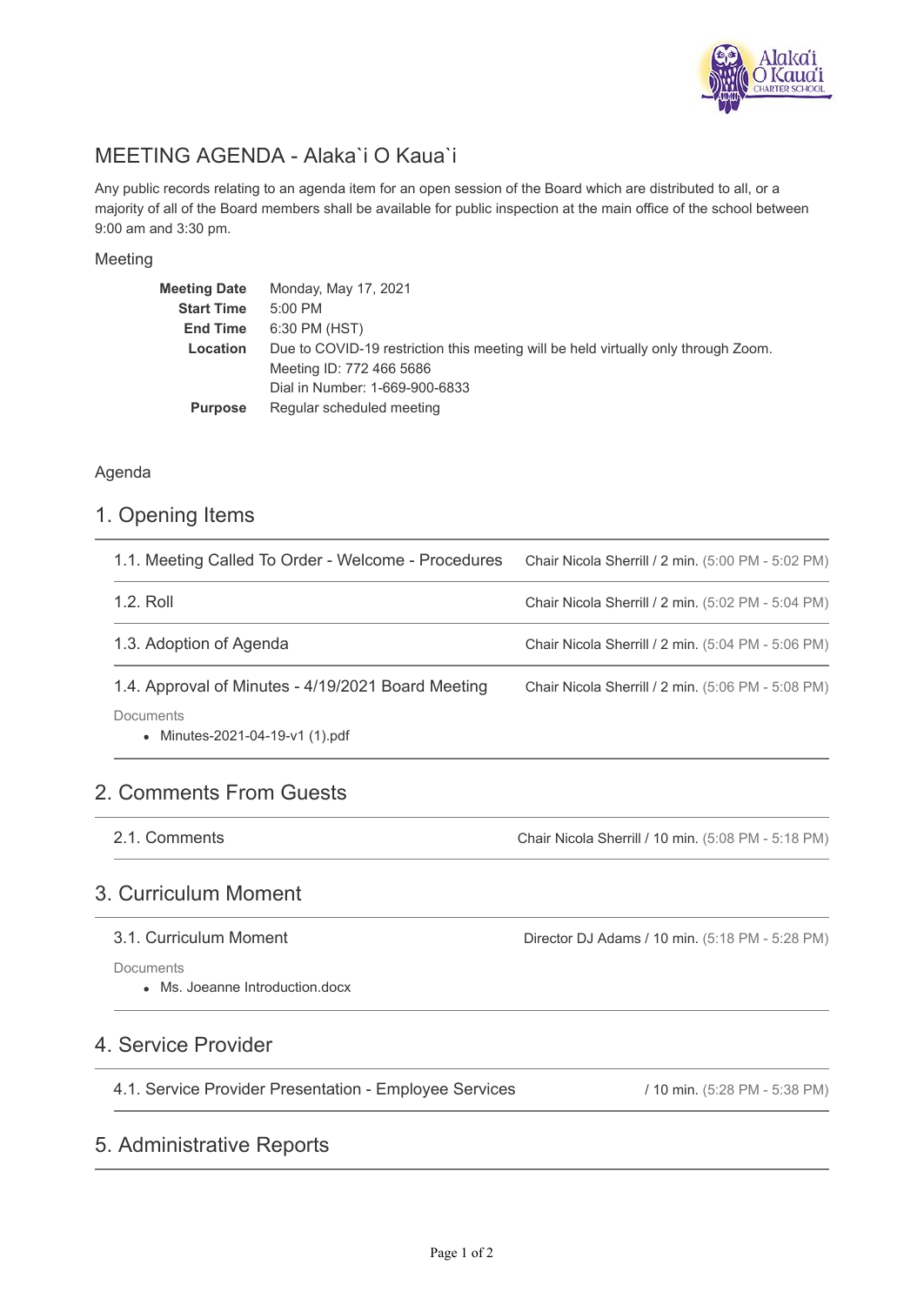

# MEETING AGENDA - Alaka`i O Kaua`i

Any public records relating to an agenda item for an open session of the Board which are distributed to all, or a majority of all of the Board members shall be available for public inspection at the main office of the school between 9:00 am and 3:30 pm.

### Meeting

| Meeting Date      | Monday, May 17, 2021                                                               |
|-------------------|------------------------------------------------------------------------------------|
| <b>Start Time</b> | $5:00$ PM                                                                          |
| <b>End Time</b>   | 6:30 PM (HST)                                                                      |
| Location          | Due to COVID-19 restriction this meeting will be held virtually only through Zoom. |
|                   | Meeting ID: 772 466 5686                                                           |
|                   | Dial in Number: 1-669-900-6833                                                     |
| <b>Purpose</b>    | Regular scheduled meeting                                                          |

### Agenda

## 1. Opening Items

| 1.1. Meeting Called To Order - Welcome - Procedures | Chair Nicola Sherrill / 2 min. (5:00 PM - 5:02 PM) |
|-----------------------------------------------------|----------------------------------------------------|
| 1.2. Roll                                           | Chair Nicola Sherrill / 2 min. (5:02 PM - 5:04 PM) |
| 1.3. Adoption of Agenda                             | Chair Nicola Sherrill / 2 min. (5:04 PM - 5:06 PM) |
| 1.4. Approval of Minutes - 4/19/2021 Board Meeting  | Chair Nicola Sherrill / 2 min. (5:06 PM - 5:08 PM) |
| Documents<br>• Minutes-2021-04-19-v1 (1).pdf        |                                                    |

# 2. Comments From Guests

2.1. Comments

Chair Nicola Sherrill / 10 min. (5:08 PM - 5:18 PM)

Director DJ Adams / 10 min. (5:18 PM - 5:28 PM)

# 3. Curriculum Moment

### 3.1. Curriculum Moment

**Documents** 

Ms. Joeanne Introduction.docx

## 4. Service Provider

4.1. Service Provider Presentation - Employee Services

#### / 10 min. (5:28 PM - 5:38 PM)

# 5. Administrative Reports